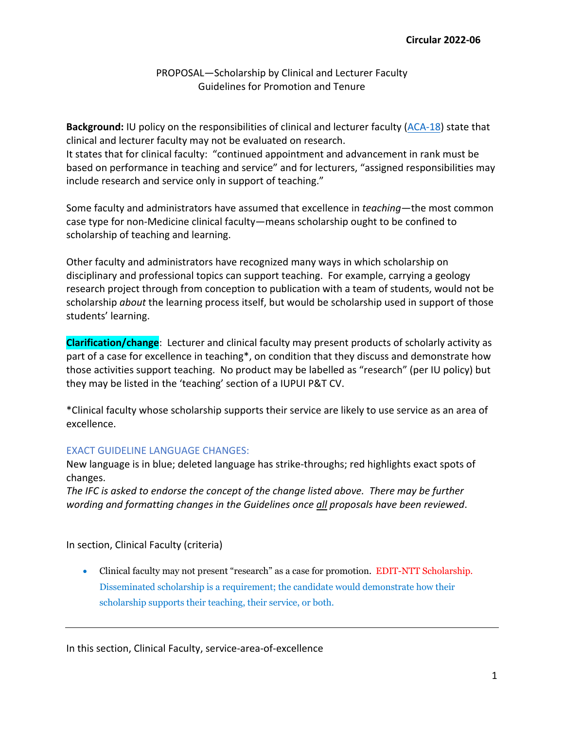# PROPOSAL—Scholarship by Clinical and Lecturer Faculty Guidelines for Promotion and Tenure

**Background:** IU policy on the responsibilities of clinical and lecturer faculty [\(ACA-18\)](https://policies.iu.edu/policies/aca-18-regulation-clinical-lecture-appointments/index.html) state that clinical and lecturer faculty may not be evaluated on research. It states that for clinical faculty: "continued appointment and advancement in rank must be based on performance in teaching and service" and for lecturers, "assigned responsibilities may include research and service only in support of teaching."

Some faculty and administrators have assumed that excellence in *teaching—*the most common case type for non-Medicine clinical faculty—means scholarship ought to be confined to scholarship of teaching and learning.

Other faculty and administrators have recognized many ways in which scholarship on disciplinary and professional topics can support teaching. For example, carrying a geology research project through from conception to publication with a team of students, would not be scholarship *about* the learning process itself, but would be scholarship used in support of those students' learning.

**Clarification/change**: Lecturer and clinical faculty may present products of scholarly activity as part of a case for excellence in teaching\*, on condition that they discuss and demonstrate how those activities support teaching. No product may be labelled as "research" (per IU policy) but they may be listed in the 'teaching' section of a IUPUI P&T CV.

\*Clinical faculty whose scholarship supports their service are likely to use service as an area of excellence.

# EXACT GUIDELINE LANGUAGE CHANGES:

New language is in blue; deleted language has strike-throughs; red highlights exact spots of changes.

*The IFC is asked to endorse the concept of the change listed above. There may be further wording and formatting changes in the Guidelines once all proposals have been reviewed*.

In section, Clinical Faculty (criteria)

• Clinical faculty may not present "research" as a case for promotion. EDIT-NTT Scholarship. Disseminated scholarship is a requirement; the candidate would demonstrate how their scholarship supports their teaching, their service, or both.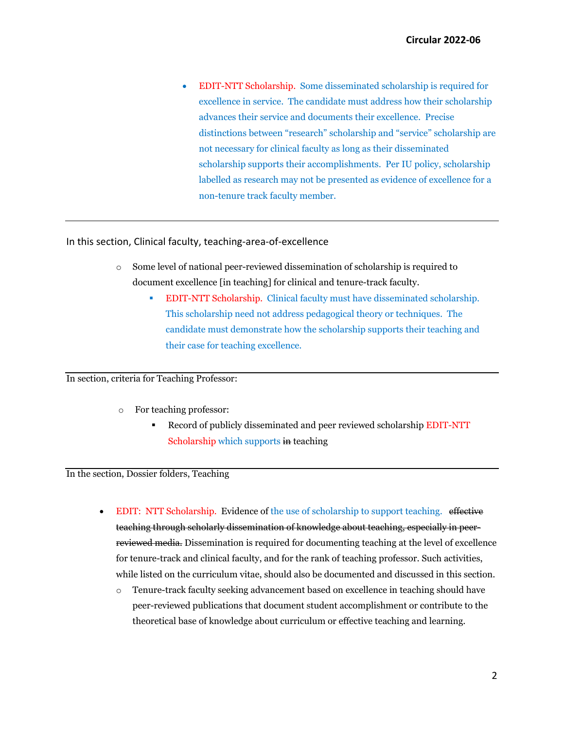• EDIT-NTT Scholarship. Some disseminated scholarship is required for excellence in service. The candidate must address how their scholarship advances their service and documents their excellence. Precise distinctions between "research" scholarship and "service" scholarship are not necessary for clinical faculty as long as their disseminated scholarship supports their accomplishments. Per IU policy, scholarship labelled as research may not be presented as evidence of excellence for a non-tenure track faculty member.

### In this section, Clinical faculty, teaching-area-of-excellence

- o Some level of national peer-reviewed dissemination of scholarship is required to document excellence [in teaching] for clinical and tenure-track faculty.
	- EDIT-NTT Scholarship. Clinical faculty must have disseminated scholarship. This scholarship need not address pedagogical theory or techniques. The candidate must demonstrate how the scholarship supports their teaching and their case for teaching excellence.

#### In section, criteria for Teaching Professor:

- o For teaching professor:
	- Record of publicly disseminated and peer reviewed scholarship EDIT-NTT Scholarship which supports in teaching

### In the section, Dossier folders, Teaching

- EDIT: NTT Scholarship. Evidence of the use of scholarship to support teaching. effective teaching through scholarly dissemination of knowledge about teaching, especially in peerreviewed media. Dissemination is required for documenting teaching at the level of excellence for tenure-track and clinical faculty, and for the rank of teaching professor. Such activities, while listed on the curriculum vitae, should also be documented and discussed in this section.
	- o Tenure-track faculty seeking advancement based on excellence in teaching should have peer-reviewed publications that document student accomplishment or contribute to the theoretical base of knowledge about curriculum or effective teaching and learning.